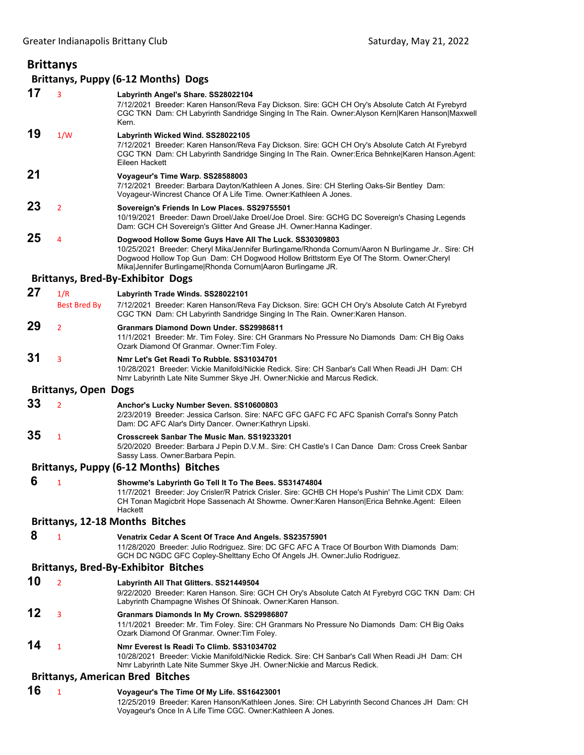## **Brittanys Brittanys, Puppy (6‐12 Months) Dogs 17** <sup>3</sup> **Labyrinth Angel's Share. SS28022104** 7/12/2021 Breeder: Karen Hanson/Reva Fay Dickson. Sire: GCH CH Ory's Absolute Catch At Fyrebyrd CGC TKN Dam: CH Labyrinth Sandridge Singing In The Rain. Owner:Alyson Kern|Karen Hanson|Maxwell Kern. **19** 1/W **Labyrinth Wicked Wind. SS28022105** 7/12/2021 Breeder: Karen Hanson/Reva Fay Dickson. Sire: GCH CH Ory's Absolute Catch At Fyrebyrd CGC TKN Dam: CH Labyrinth Sandridge Singing In The Rain. Owner:Erica Behnke|Karen Hanson.Agent: Eileen Hackett **21 Voyageur's Time Warp. SS28588003** 7/12/2021 Breeder: Barbara Dayton/Kathleen A Jones. Sire: CH Sterling Oaks-Sir Bentley Dam: Voyageur-Wincrest Chance Of A Life Time. Owner:Kathleen A Jones. **23** <sup>2</sup> **Sovereign's Friends In Low Places. SS29755501** 10/19/2021 Breeder: Dawn Droel/Jake Droel/Joe Droel. Sire: GCHG DC Sovereign's Chasing Legends Dam: GCH CH Sovereign's Glitter And Grease JH. Owner:Hanna Kadinger. **25** <sup>4</sup> **Dogwood Hollow Some Guys Have All The Luck. SS30309803** 10/25/2021 Breeder: Cheryl Mika/Jennifer Burlingame/Rhonda Cornum/Aaron N Burlingame Jr.. Sire: CH Dogwood Hollow Top Gun Dam: CH Dogwood Hollow Brittstorm Eye Of The Storm. Owner:Cheryl Mika|Jennifer Burlingame|Rhonda Cornum|Aaron Burlingame JR. **Brittanys, Bred‐By‐Exhibitor Dogs 27** 1/R **Labyrinth Trade Winds. SS28022101** Best Bred By 7/12/2021 Breeder: Karen Hanson/Reva Fay Dickson. Sire: GCH CH Ory's Absolute Catch At Fyrebyrd CGC TKN Dam: CH Labyrinth Sandridge Singing In The Rain. Owner:Karen Hanson. **29** <sup>2</sup> **Granmars Diamond Down Under. SS29986811** 11/1/2021 Breeder: Mr. Tim Foley. Sire: CH Granmars No Pressure No Diamonds Dam: CH Big Oaks Ozark Diamond Of Granmar. Owner:Tim Foley. **31** <sup>3</sup> **Nmr Let's Get Readi To Rubble. SS31034701** 10/28/2021 Breeder: Vickie Manifold/Nickie Redick. Sire: CH Sanbar's Call When Readi JH Dam: CH Nmr Labyrinth Late Nite Summer Skye JH. Owner:Nickie and Marcus Redick. **Brittanys, Open Dogs 33** <sup>2</sup> **Anchor's Lucky Number Seven. SS10600803** 2/23/2019 Breeder: Jessica Carlson. Sire: NAFC GFC GAFC FC AFC Spanish Corral's Sonny Patch Dam: DC AFC Alar's Dirty Dancer. Owner:Kathryn Lipski. **35** <sup>1</sup> **Crosscreek Sanbar The Music Man. SS19233201** 5/20/2020 Breeder: Barbara J Pepin D.V.M.. Sire: CH Castle's I Can Dance Dam: Cross Creek Sanbar Sassy Lass. Owner:Barbara Pepin. **Brittanys, Puppy (6‐12 Months) Bitches 6** <sup>1</sup> **Showme's Labyrinth Go Tell It To The Bees. SS31474804** 11/7/2021 Breeder: Joy Crisler/R Patrick Crisler. Sire: GCHB CH Hope's Pushin' The Limit CDX Dam: CH Tonan Magicbrit Hope Sassenach At Showme. Owner:Karen Hanson|Erica Behnke.Agent: Eileen Hackett **Brittanys, 12‐18 Months Bitches 8** <sup>1</sup> **Venatrix Cedar A Scent Of Trace And Angels. SS23575901** 11/28/2020 Breeder: Julio Rodriguez. Sire: DC GFC AFC A Trace Of Bourbon With Diamonds Dam: GCH DC NGDC GFC Copley-Shelttany Echo Of Angels JH. Owner:Julio Rodriguez. **Brittanys, Bred‐By‐Exhibitor Bitches 10** <sup>2</sup> **Labyrinth All That Glitters. SS21449504** 9/22/2020 Breeder: Karen Hanson. Sire: GCH CH Ory's Absolute Catch At Fyrebyrd CGC TKN Dam: CH Labyrinth Champagne Wishes Of Shinoak. Owner:Karen Hanson. **12** <sup>3</sup> **Granmars Diamonds In My Crown. SS29986807** 11/1/2021 Breeder: Mr. Tim Foley. Sire: CH Granmars No Pressure No Diamonds Dam: CH Big Oaks Ozark Diamond Of Granmar. Owner:Tim Foley. **14** <sup>1</sup> **Nmr Everest Is Readi To Climb. SS31034702** 10/28/2021 Breeder: Vickie Manifold/Nickie Redick. Sire: CH Sanbar's Call When Readi JH Dam: CH Nmr Labyrinth Late Nite Summer Skye JH. Owner:Nickie and Marcus Redick. **Brittanys, American Bred Bitches 16** <sup>1</sup> **Voyageur's The Time Of My Life. SS16423001**

12/25/2019 Breeder: Karen Hanson/Kathleen Jones. Sire: CH Labyrinth Second Chances JH Dam: CH Voyageur's Once In A Life Time CGC. Owner:Kathleen A Jones.